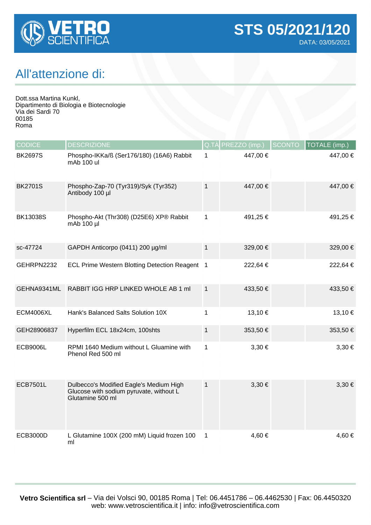

## All'attenzione di:

Dott.ssa Martina Kunkl, Dipartimento di Biologia e Biotecnologie Via dei Sardi 70 00185 Roma

| <b>CODICE</b>    | <b>DESCRIZIONE</b>                                                                                     |              | Q.TÀ PREZZO (imp.) | <b>SCONTO</b> | <b>TOTALE</b> (imp.) |
|------------------|--------------------------------------------------------------------------------------------------------|--------------|--------------------|---------------|----------------------|
| <b>BK2697S</b>   | Phospho-IKKa/ß (Ser176/180) (16A6) Rabbit<br>mAb 100 ul                                                | 1            | 447,00 €           |               | 447,00 €             |
| <b>BK2701S</b>   | Phospho-Zap-70 (Tyr319)/Syk (Tyr352)<br>Antibody 100 µl                                                | $\mathbf{1}$ | 447,00 €           |               | 447,00 €             |
| <b>BK13038S</b>  | Phospho-Akt (Thr308) (D25E6) XP® Rabbit<br>mAb 100 µl                                                  | $\mathbf{1}$ | 491,25 €           |               | 491,25 €             |
| sc-47724         | GAPDH Anticorpo (0411) 200 µg/ml                                                                       | $\mathbf{1}$ | 329,00 €           |               | 329,00 €             |
| GEHRPN2232       | ECL Prime Western Blotting Detection Reagent 1                                                         |              | 222,64 €           |               | 222,64 €             |
| GEHNA9341ML      | RABBIT IGG HRP LINKED WHOLE AB 1 ml                                                                    | $\mathbf{1}$ | 433,50 €           |               | 433,50 €             |
| <b>ECM4006XL</b> | Hank's Balanced Salts Solution 10X                                                                     | 1            | 13,10 €            |               | 13,10 €              |
| GEH28906837      | Hyperfilm ECL 18x24cm, 100shts                                                                         | $\mathbf{1}$ | 353,50€            |               | 353,50 €             |
| <b>ECB9006L</b>  | RPMI 1640 Medium without L Gluamine with<br>Phenol Red 500 ml                                          | $\mathbf 1$  | $3,30 \in$         |               | $3,30 \in$           |
| <b>ECB7501L</b>  | Dulbecco's Modified Eagle's Medium High<br>Glucose with sodium pyruvate, without L<br>Glutamine 500 ml | $\mathbf 1$  | $3,30 \in$         |               | $3,30 \in$           |
| <b>ECB3000D</b>  | L Glutamine 100X (200 mM) Liquid frozen 100<br>ml                                                      | $\mathbf{1}$ | 4,60 €             |               | 4,60 €               |

**Vetro Scientifica srl** – Via dei Volsci 90, 00185 Roma | Tel: 06.4451786 – 06.4462530 | Fax: 06.4450320 web: www.vetroscientifica.it | info: info@vetroscientifica.com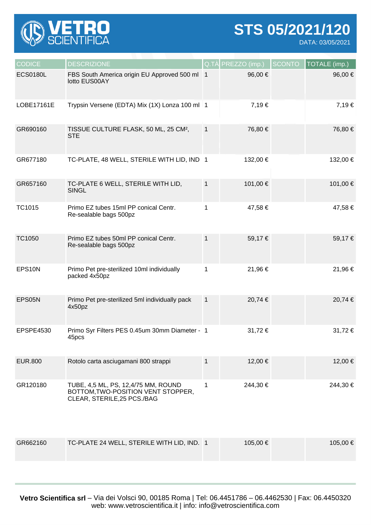

**STS 05/2021/120**

DATA: 03/05/2021

| <b>CODICE</b>   | <b>DESCRIZIONE</b>                                                                                       | Q.TA         | PREZZO (imp.) | <b>SCONTO</b> | TOTALE (imp.) |
|-----------------|----------------------------------------------------------------------------------------------------------|--------------|---------------|---------------|---------------|
| <b>ECS0180L</b> | FBS South America origin EU Approved 500 ml 1<br>lotto EUS00AY                                           |              | 96,00 €       |               | 96,00€        |
| LOBE17161E      | Trypsin Versene (EDTA) Mix (1X) Lonza 100 ml 1                                                           |              | 7,19€         |               | 7,19€         |
| GR690160        | TISSUE CULTURE FLASK, 50 ML, 25 CM <sup>2</sup> ,<br><b>STE</b>                                          | $\mathbf{1}$ | 76,80 €       |               | 76,80 €       |
| GR677180        | TC-PLATE, 48 WELL, STERILE WITH LID, IND 1                                                               |              | 132,00 €      |               | 132,00 €      |
| GR657160        | TC-PLATE 6 WELL, STERILE WITH LID,<br><b>SINGL</b>                                                       | $\mathbf{1}$ | 101,00 €      |               | 101,00 €      |
| <b>TC1015</b>   | Primo EZ tubes 15ml PP conical Centr.<br>Re-sealable bags 500pz                                          | 1            | 47,58 €       |               | 47,58€        |
| TC1050          | Primo EZ tubes 50ml PP conical Centr.<br>Re-sealable bags 500pz                                          | $\mathbf{1}$ | 59,17€        |               | 59,17€        |
| EPS10N          | Primo Pet pre-sterilized 10ml individually<br>packed 4x50pz                                              | 1            | 21,96€        |               | 21,96 €       |
| EPS05N          | Primo Pet pre-sterilized 5ml individually pack<br>4x50pz                                                 | $\mathbf{1}$ | 20,74 €       |               | 20,74 €       |
| EPSPE4530       | Primo Syr Filters PES 0.45um 30mm Diameter - 1<br>45pcs                                                  |              | 31,72€        |               | 31,72 €       |
| <b>EUR.800</b>  | Rotolo carta asciugamani 800 strappi                                                                     | 1            | 12,00 €       |               | 12,00 €       |
| GR120180        | TUBE, 4,5 ML, PS, 12,4/75 MM, ROUND<br>BOTTOM, TWO-POSITION VENT STOPPER,<br>CLEAR, STERILE, 25 PCS./BAG | 1            | 244,30 €      |               | 244,30 €      |
| GR662160        | TC-PLATE 24 WELL, STERILE WITH LID, IND. 1                                                               |              | 105,00 €      |               | 105,00 €      |

**Vetro Scientifica srl** – Via dei Volsci 90, 00185 Roma | Tel: 06.4451786 – 06.4462530 | Fax: 06.4450320 web: www.vetroscientifica.it | info: info@vetroscientifica.com